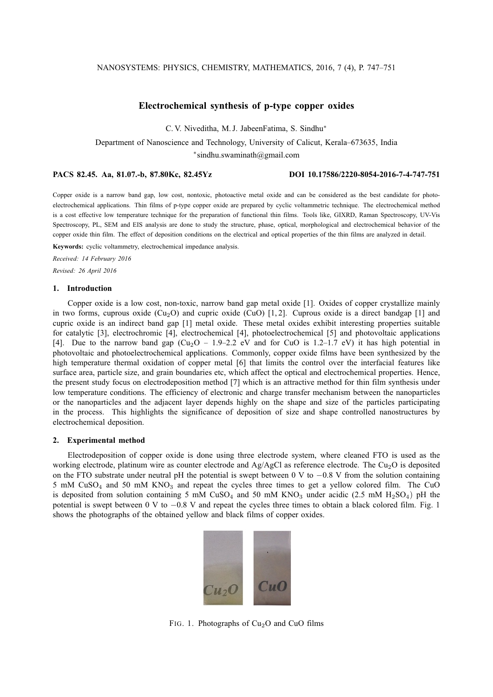# **Electrochemical synthesis of p-type copper oxides**

C. V. Niveditha, M. J. JabeenFatima, S. Sindhu<sup>∗</sup>

Department of Nanoscience and Technology, University of Calicut, Kerala–673635, India

∗ sindhu.swaminath@gmail.com

## **PACS 82.45. Aa, 81.07.-b, 87.80Kc, 82.45Yz DOI 10.17586/2220-8054-2016-7-4-747-751**

Copper oxide is a narrow band gap, low cost, nontoxic, photoactive metal oxide and can be considered as the best candidate for photoelectrochemical applications. Thin films of p-type copper oxide are prepared by cyclic voltammetric technique. The electrochemical method is a cost effective low temperature technique for the preparation of functional thin films. Tools like, GIXRD, Raman Spectroscopy, UV-Vis Spectroscopy, PL, SEM and EIS analysis are done to study the structure, phase, optical, morphological and electrochemical behavior of the copper oxide thin film. The effect of deposition conditions on the electrical and optical properties of the thin films are analyzed in detail.

**Keywords:** cyclic voltammetry, electrochemical impedance analysis.

*Received: 14 February 2016*

*Revised: 26 April 2016*

# **1. Introduction**

Copper oxide is a low cost, non-toxic, narrow band gap metal oxide [1]. Oxides of copper crystallize mainly in two forms, cuprous oxide  $(Cu_2O)$  and cupric oxide  $(Cu_0)$  [1, 2]. Cuprous oxide is a direct bandgap [1] and cupric oxide is an indirect band gap [1] metal oxide. These metal oxides exhibit interesting properties suitable for catalytic [3], electrochromic [4], electrochemical [4], photoelectrochemical [5] and photovoltaic applications [4]. Due to the narrow band gap  $(Cu_2O - 1.9-2.2$  eV and for CuO is 1.2–1.7 eV) it has high potential in photovoltaic and photoelectrochemical applications. Commonly, copper oxide films have been synthesized by the high temperature thermal oxidation of copper metal [6] that limits the control over the interfacial features like surface area, particle size, and grain boundaries etc, which affect the optical and electrochemical properties. Hence, the present study focus on electrodeposition method [7] which is an attractive method for thin film synthesis under low temperature conditions. The efficiency of electronic and charge transfer mechanism between the nanoparticles or the nanoparticles and the adjacent layer depends highly on the shape and size of the particles participating in the process. This highlights the significance of deposition of size and shape controlled nanostructures by electrochemical deposition.

## **2. Experimental method**

Electrodeposition of copper oxide is done using three electrode system, where cleaned FTO is used as the working electrode, platinum wire as counter electrode and Ag/AgCl as reference electrode. The Cu<sub>2</sub>O is deposited on the FTO substrate under neutral pH the potential is swept between 0 V to −0.8 V from the solution containing 5 mM  $CuSO<sub>4</sub>$  and 50 mM  $KNO<sub>3</sub>$  and repeat the cycles three times to get a yellow colored film. The CuO is deposited from solution containing 5 mM  $CuSO<sub>4</sub>$  and 50 mM  $KNO<sub>3</sub>$  under acidic (2.5 mM H<sub>2</sub>SO<sub>4</sub>) pH the potential is swept between 0 V to −0.8 V and repeat the cycles three times to obtain a black colored film. Fig. 1 shows the photographs of the obtained yellow and black films of copper oxides.



FIG. 1. Photographs of  $Cu<sub>2</sub>O$  and CuO films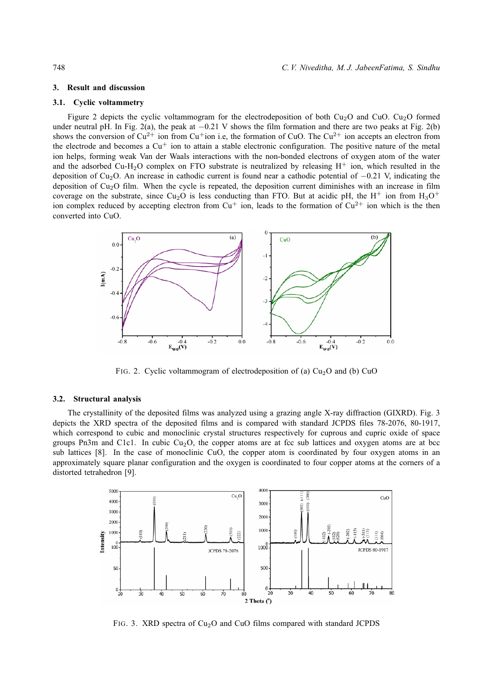## **3. Result and discussion**

# **3.1. Cyclic voltammetry**

Figure 2 depicts the cyclic voltammogram for the electrodeposition of both Cu<sub>2</sub>O and Cu<sub>2</sub>O formed under neutral pH. In Fig. 2(a), the peak at  $-0.21$  V shows the film formation and there are two peaks at Fig. 2(b) shows the conversion of  $Cu^{2+}$  ion from  $Cu^{+}$  ion i.e, the formation of CuO. The  $Cu^{2+}$  ion accepts an electron from the electrode and becomes a  $Cu<sup>+</sup>$  ion to attain a stable electronic configuration. The positive nature of the metal ion helps, forming weak Van der Waals interactions with the non-bonded electrons of oxygen atom of the water and the adsorbed Cu-H<sub>2</sub>O complex on FTO substrate is neutralized by releasing  $H^+$  ion, which resulted in the deposition of Cu2O. An increase in cathodic current is found near a cathodic potential of −0.21 V, indicating the deposition of Cu<sub>2</sub>O film. When the cycle is repeated, the deposition current diminishes with an increase in film coverage on the substrate, since Cu<sub>2</sub>O is less conducting than FTO. But at acidic pH, the H<sup>+</sup> ion from  $H_3O^+$ ion complex reduced by accepting electron from  $Cu^+$  ion, leads to the formation of  $Cu^{2+}$  ion which is the then converted into CuO.



FIG. 2. Cyclic voltammogram of electrodeposition of (a)  $Cu<sub>2</sub>O$  and (b) CuO

# **3.2. Structural analysis**

The crystallinity of the deposited films was analyzed using a grazing angle X-ray diffraction (GIXRD). Fig. 3 depicts the XRD spectra of the deposited films and is compared with standard JCPDS files 78-2076, 80-1917, which correspond to cubic and monoclinic crystal structures respectively for cuprous and cupric oxide of space groups Pn3m and C1c1. In cubic  $Cu<sub>2</sub>O$ , the copper atoms are at fcc sub lattices and oxygen atoms are at bcc sub lattices [8]. In the case of monoclinic CuO, the copper atom is coordinated by four oxygen atoms in an approximately square planar configuration and the oxygen is coordinated to four copper atoms at the corners of a distorted tetrahedron [9].



FIG. 3. XRD spectra of  $Cu<sub>2</sub>O$  and CuO films compared with standard JCPDS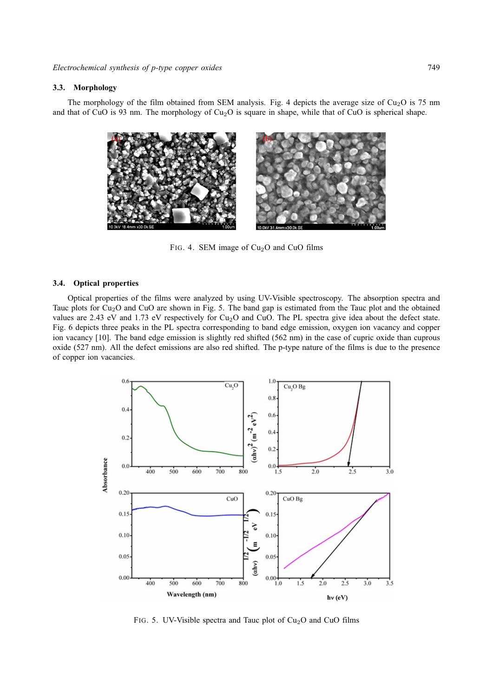### **3.3. Morphology**

The morphology of the film obtained from SEM analysis. Fig. 4 depicts the average size of  $Cu<sub>2</sub>O$  is 75 nm and that of CuO is 93 nm. The morphology of  $Cu<sub>2</sub>O$  is square in shape, while that of CuO is spherical shape.



FIG. 4. SEM image of  $Cu<sub>2</sub>O$  and CuO films

#### **3.4. Optical properties**

Optical properties of the films were analyzed by using UV-Visible spectroscopy. The absorption spectra and Tauc plots for Cu2O and CuO are shown in Fig. 5. The band gap is estimated from the Tauc plot and the obtained values are 2.43 eV and 1.73 eV respectively for  $Cu<sub>2</sub>O$  and CuO. The PL spectra give idea about the defect state. Fig. 6 depicts three peaks in the PL spectra corresponding to band edge emission, oxygen ion vacancy and copper ion vacancy [10]. The band edge emission is slightly red shifted (562 nm) in the case of cupric oxide than cuprous oxide (527 nm). All the defect emissions are also red shifted. The p-type nature of the films is due to the presence of copper ion vacancies.



FIG. 5. UV-Visible spectra and Tauc plot of  $Cu<sub>2</sub>O$  and CuO films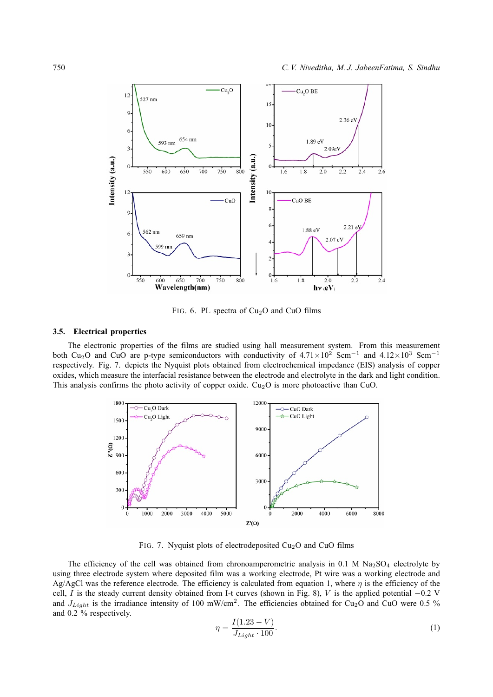

FIG. 6. PL spectra of  $Cu<sub>2</sub>O$  and CuO films

# **3.5. Electrical properties**

The electronic properties of the films are studied using hall measurement system. From this measurement both Cu<sub>2</sub>O and CuO are p-type semiconductors with conductivity of  $4.71 \times 10^2$  Scm<sup>-1</sup> and  $4.12 \times 10^3$  Scm<sup>-1</sup> respectively. Fig. 7. depicts the Nyquist plots obtained from electrochemical impedance (EIS) analysis of copper oxides, which measure the interfacial resistance between the electrode and electrolyte in the dark and light condition. This analysis confirms the photo activity of copper oxide.  $Cu<sub>2</sub>O$  is more photoactive than CuO.



FIG. 7. Nyquist plots of electrodeposited  $Cu<sub>2</sub>O$  and CuO films

The efficiency of the cell was obtained from chronoamperometric analysis in 0.1 M  $Na<sub>2</sub>SO<sub>4</sub>$  electrolyte by using three electrode system where deposited film was a working electrode, Pt wire was a working electrode and Ag/AgCl was the reference electrode. The efficiency is calculated from equation 1, where  $\eta$  is the efficiency of the cell, I is the steady current density obtained from I-t curves (shown in Fig. 8), V is the applied potential  $-0.2$  V and  $J_{Light}$  is the irradiance intensity of 100 mW/cm<sup>2</sup>. The efficiencies obtained for Cu<sub>2</sub>O and CuO were 0.5 % and 0.2 % respectively.

$$
\eta = \frac{I(1.23 - V)}{J_{Light} \cdot 100}.
$$
\n(1)